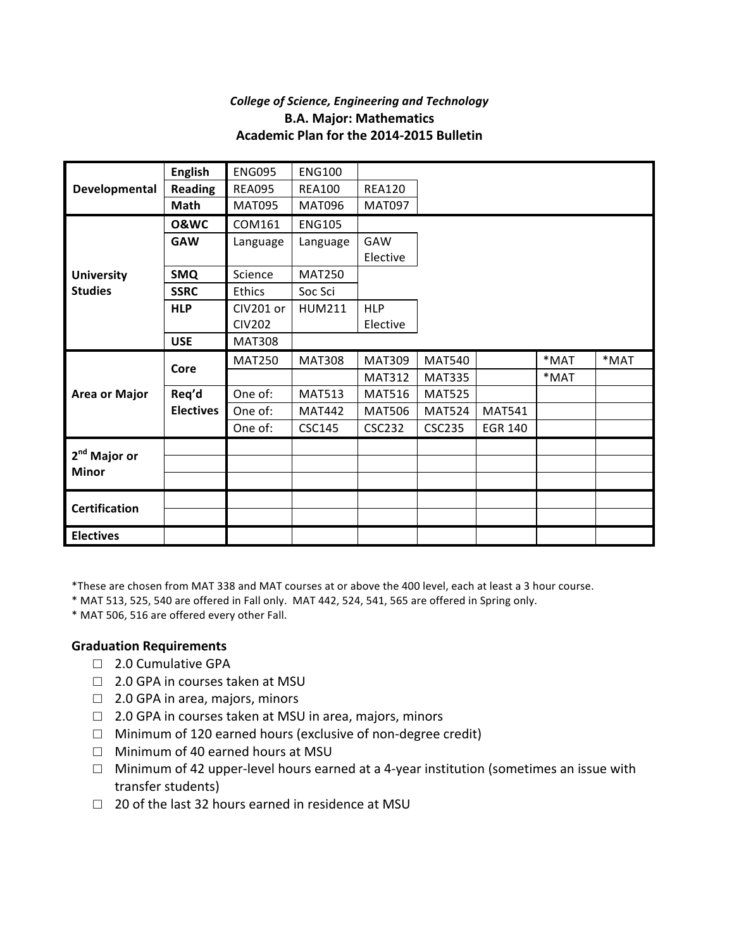## *College of Science, Engineering and Technology* **B.A. Major: Mathematics Academic Plan for the 2014-2015 Bulletin**

|                                          | <b>English</b>   | <b>ENG095</b> | <b>ENG100</b> |               |               |                |         |         |
|------------------------------------------|------------------|---------------|---------------|---------------|---------------|----------------|---------|---------|
| Developmental                            | <b>Reading</b>   | <b>REA095</b> | <b>REA100</b> | <b>REA120</b> |               |                |         |         |
|                                          | <b>Math</b>      | <b>MAT095</b> | <b>MAT096</b> | <b>MAT097</b> |               |                |         |         |
|                                          | <b>0&amp;WC</b>  | COM161        | <b>ENG105</b> |               |               |                |         |         |
|                                          | <b>GAW</b>       | Language      | Language      | GAW           |               |                |         |         |
|                                          |                  |               |               | Elective      |               |                |         |         |
| <b>University</b>                        | <b>SMQ</b>       | Science       | <b>MAT250</b> |               |               |                |         |         |
| <b>Studies</b>                           | <b>SSRC</b>      | Ethics        | Soc Sci       |               |               |                |         |         |
|                                          | <b>HLP</b>       | CIV201 or     | <b>HUM211</b> | <b>HLP</b>    |               |                |         |         |
|                                          |                  | <b>CIV202</b> |               | Elective      |               |                |         |         |
|                                          | <b>USE</b>       | <b>MAT308</b> |               |               |               |                |         |         |
| <b>Area or Major</b>                     | Core             | <b>MAT250</b> | <b>MAT308</b> | <b>MAT309</b> | <b>MAT540</b> |                | $*$ MAT | $*$ MAT |
|                                          |                  |               |               | <b>MAT312</b> | <b>MAT335</b> |                | $*$ MAT |         |
|                                          | Req'd            | One of:       | <b>MAT513</b> | <b>MAT516</b> | <b>MAT525</b> |                |         |         |
|                                          | <b>Electives</b> | One of:       | <b>MAT442</b> | <b>MAT506</b> | <b>MAT524</b> | <b>MAT541</b>  |         |         |
|                                          |                  | One of:       | <b>CSC145</b> | <b>CSC232</b> | <b>CSC235</b> | <b>EGR 140</b> |         |         |
|                                          |                  |               |               |               |               |                |         |         |
| 2 <sup>nd</sup> Major or<br><b>Minor</b> |                  |               |               |               |               |                |         |         |
|                                          |                  |               |               |               |               |                |         |         |
|                                          |                  |               |               |               |               |                |         |         |
| <b>Certification</b>                     |                  |               |               |               |               |                |         |         |
| <b>Electives</b>                         |                  |               |               |               |               |                |         |         |

\*These are chosen from MAT 338 and MAT courses at or above the 400 level, each at least a 3 hour course.

\* MAT 513, 525, 540 are offered in Fall only. MAT 442, 524, 541, 565 are offered in Spring only.

\* MAT 506, 516 are offered every other Fall.

## **Graduation Requirements**

- □ 2.0 Cumulative GPA
- $\Box$  2.0 GPA in courses taken at MSU
- $\Box$  2.0 GPA in area, majors, minors
- $\Box$  2.0 GPA in courses taken at MSU in area, majors, minors
- $\Box$  Minimum of 120 earned hours (exclusive of non-degree credit)
- □ Minimum of 40 earned hours at MSU
- $\Box$  Minimum of 42 upper-level hours earned at a 4-year institution (sometimes an issue with transfer students)
- $\Box$  20 of the last 32 hours earned in residence at MSU